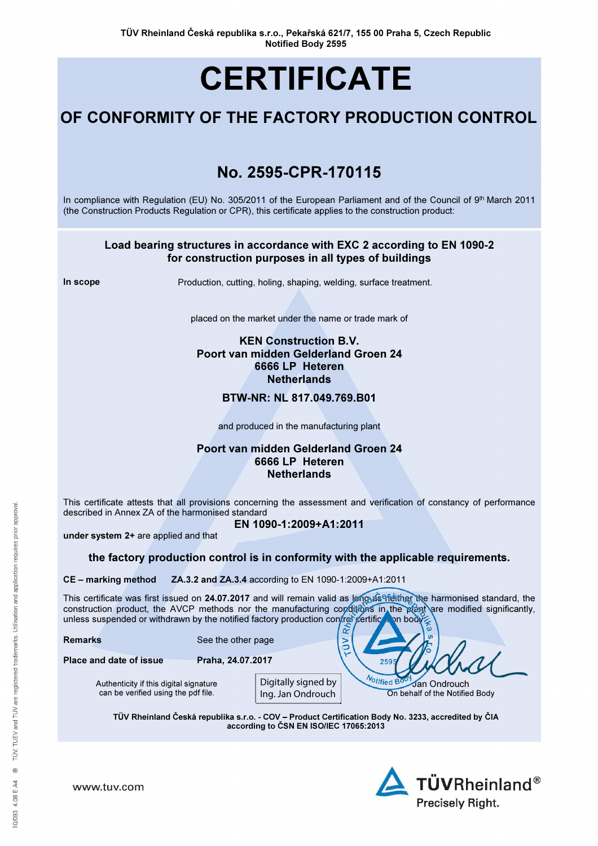# **CERTIFICATE**

## OF CONFORMITY OF THE FACTORY PRODUCTION CONTROL

## No. 2595-CPR-170115

In compliance with Regulation (EU) No. 305/2011 of the European Parliament and of the Council of 9<sup>th</sup> March 2011 (the Construction Products Regulation or CPR), this certificate applies to the construction product:

#### Load bearing structures in accordance with EXC 2 according to EN 1090-2 for construction purposes in all types of buildings

In scope **Production, cutting, holing, shaping, welding, surface treatment.** 

placed on the market under the name or trade mark of

#### KEN Construction B.V. Poort van midden Gelderland Groen 24 6666 LP Heteren **Netherlands**

#### BTW-NR: NL 817.049.769.B01

and produced in the manufacturing plant

#### Poort van midden Gelderland Groen 24 6666 LP Heteren **Netherlands**

This certificate attests that all provisions concerning the assessment and verification of constancy of performance described in Annex ZA of the harmonised standard

EN 1090-1:2009+A1:2011

under system 2+ are applied and that

the factory production control is in conformity with the applicable requirements.

CE – marking method ZA.3.2 and ZA.3.4 according to EN 1090-1:2009+A1:2011

This certificate was first issued on 24.07.2017 and will remain valid as long as the harmonised standard, the construction product, the AVCP methods nor the manufacturing conditions in the plant are modified significantly, unless suspended or withdrawn by the notified factory production control certification body

> $\tilde{\mathbf{z}}$  $\geq$

> > 259

| <b>Remarks</b> | See the other page |
|----------------|--------------------|
|----------------|--------------------|

Place and date of issue Praha, 24.07.2017

Authenticity if this digital signature can be verified using the pdf file.

Digitally signed by Ing. Jan Ondrouch

**Notified Bo** Jan Ondrouch On behalf of the Notified Body

TÜV Rheinland Česká republika s.r.o. - COV – Product Certification Body No. 3233, accredited by ČIA according to ČSN EN ISO/IEC 17065:2013



www.tuv.com